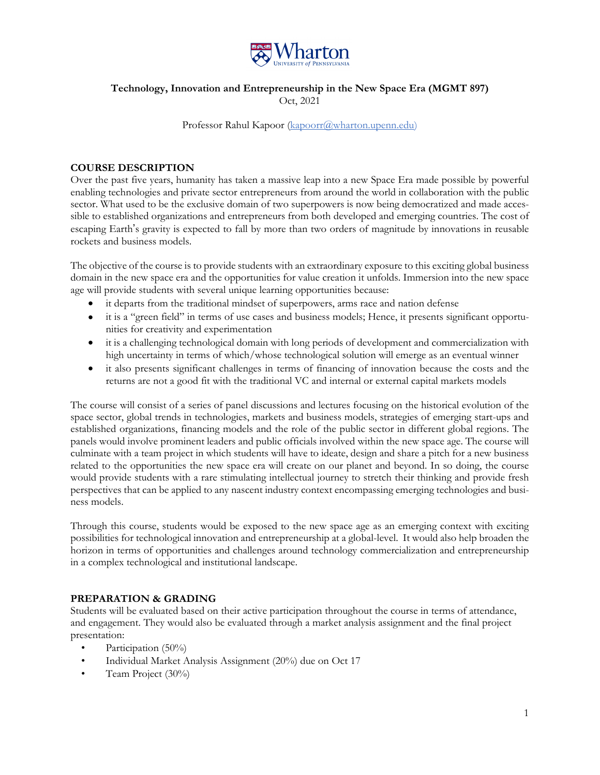

# **Technology, Innovation and Entrepreneurship in the New Space Era (MGMT 897)**  Oct, 2021

#### Professor Rahul Kapoor (kapoorr@wharton.upenn.edu)

# **COURSE DESCRIPTION**

Over the past five years, humanity has taken a massive leap into a new Space Era made possible by powerful enabling technologies and private sector entrepreneurs from around the world in collaboration with the public sector. What used to be the exclusive domain of two superpowers is now being democratized and made accessible to established organizations and entrepreneurs from both developed and emerging countries. The cost of escaping Earth's gravity is expected to fall by more than two orders of magnitude by innovations in reusable rockets and business models.

The objective of the course is to provide students with an extraordinary exposure to this exciting global business domain in the new space era and the opportunities for value creation it unfolds. Immersion into the new space age will provide students with several unique learning opportunities because:

- it departs from the traditional mindset of superpowers, arms race and nation defense
- it is a "green field" in terms of use cases and business models; Hence, it presents significant opportunities for creativity and experimentation
- it is a challenging technological domain with long periods of development and commercialization with high uncertainty in terms of which/whose technological solution will emerge as an eventual winner
- it also presents significant challenges in terms of financing of innovation because the costs and the returns are not a good fit with the traditional VC and internal or external capital markets models

The course will consist of a series of panel discussions and lectures focusing on the historical evolution of the space sector, global trends in technologies, markets and business models, strategies of emerging start-ups and established organizations, financing models and the role of the public sector in different global regions. The panels would involve prominent leaders and public officials involved within the new space age. The course will culminate with a team project in which students will have to ideate, design and share a pitch for a new business related to the opportunities the new space era will create on our planet and beyond. In so doing, the course would provide students with a rare stimulating intellectual journey to stretch their thinking and provide fresh perspectives that can be applied to any nascent industry context encompassing emerging technologies and business models.

Through this course, students would be exposed to the new space age as an emerging context with exciting possibilities for technological innovation and entrepreneurship at a global-level. It would also help broaden the horizon in terms of opportunities and challenges around technology commercialization and entrepreneurship in a complex technological and institutional landscape.

### **PREPARATION & GRADING**

Students will be evaluated based on their active participation throughout the course in terms of attendance, and engagement. They would also be evaluated through a market analysis assignment and the final project presentation:

- Participation (50%)
- Individual Market Analysis Assignment (20%) due on Oct 17
- Team Project (30%)